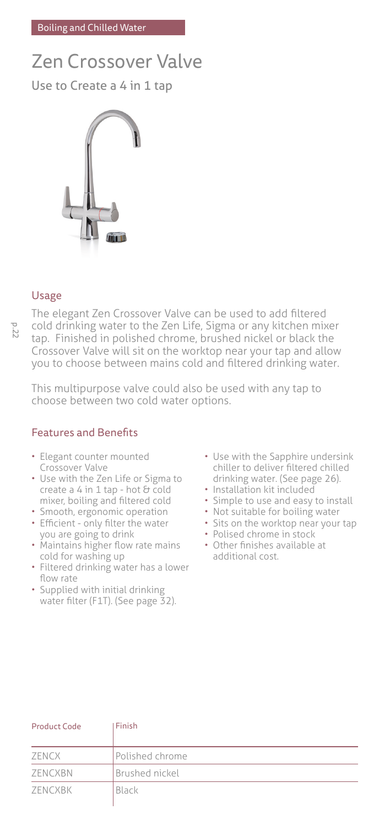# Zen Crossover Valve

Use to Create a 4 in 1 tap



## Usage

The elegant Zen Crossover Valve can be used to add filtered cold drinking water to the Zen Life, Sigma or any kitchen mixer tap. Finished in polished chrome, brushed nickel or black the Crossover Valve will sit on the worktop near your tap and allow you to choose between mains cold and filtered drinking water.

This multipurpose valve could also be used with any tap to choose between two cold water options.

# Features and Benefits

- Elegant counter mounted Crossover Valve
- Use with the Zen Life or Sigma to create a  $4$  in  $1$  tap - hot  $8$  cold mixer, boiling and filtered cold
- Smooth, ergonomic operation
- Efficient only filter the water you are going to drink
- Maintains higher flow rate mains cold for washing up
- Filtered drinking water has a lower flow rate
- Supplied with initial drinking water filter (F1T). (See page 32).
- Use with the Sapphire undersink chiller to deliver filtered chilled drinking water. (See page 26).
- Installation kit included
- Simple to use and easy to install
- Not suitable for boiling water
- Sits on the worktop near your tap
- Polised chrome in stock
- Other finishes available at additional cost.

| Product Code | Finish                |  |
|--------------|-----------------------|--|
| ZENCX        | Polished chrome       |  |
| ZENCXBN      | <b>Brushed nickel</b> |  |
| ZENCXBK      | Black                 |  |